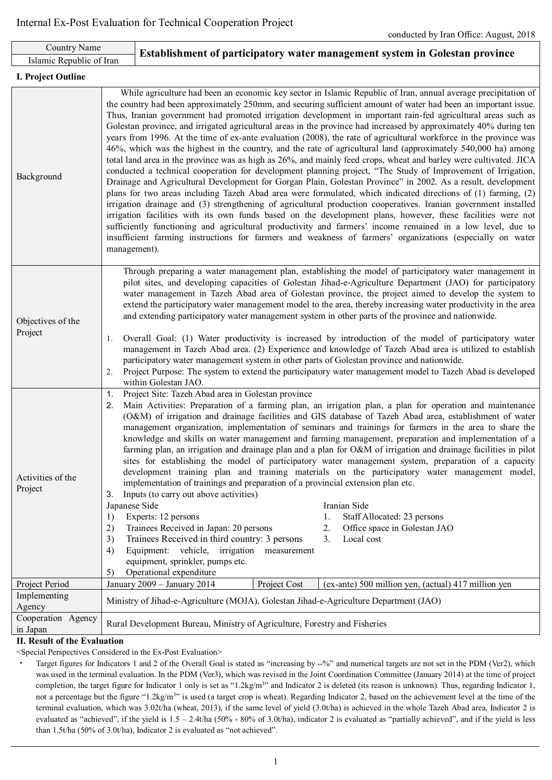| Country Name                   |                                                                                                                                                                                                                                                                                                                                                                                                                                                                                                                                                                                                                                                                                                                                                                                                                                                                                                                                                                                                                                                                                                                                                                                                                                                                                                                                                                                                                                                                                                                                                                                                                                                                 | Establishment of participatory water management system in Golestan province                                                                                                                                                                                                                                                                                                                                                                                                                                                                                                                                                                                                                                                                                                                                                                                                                                                                                                                               |              |  |                                                     |  |  |  |  |
|--------------------------------|-----------------------------------------------------------------------------------------------------------------------------------------------------------------------------------------------------------------------------------------------------------------------------------------------------------------------------------------------------------------------------------------------------------------------------------------------------------------------------------------------------------------------------------------------------------------------------------------------------------------------------------------------------------------------------------------------------------------------------------------------------------------------------------------------------------------------------------------------------------------------------------------------------------------------------------------------------------------------------------------------------------------------------------------------------------------------------------------------------------------------------------------------------------------------------------------------------------------------------------------------------------------------------------------------------------------------------------------------------------------------------------------------------------------------------------------------------------------------------------------------------------------------------------------------------------------------------------------------------------------------------------------------------------------|-----------------------------------------------------------------------------------------------------------------------------------------------------------------------------------------------------------------------------------------------------------------------------------------------------------------------------------------------------------------------------------------------------------------------------------------------------------------------------------------------------------------------------------------------------------------------------------------------------------------------------------------------------------------------------------------------------------------------------------------------------------------------------------------------------------------------------------------------------------------------------------------------------------------------------------------------------------------------------------------------------------|--------------|--|-----------------------------------------------------|--|--|--|--|
| Islamic Republic of Iran       |                                                                                                                                                                                                                                                                                                                                                                                                                                                                                                                                                                                                                                                                                                                                                                                                                                                                                                                                                                                                                                                                                                                                                                                                                                                                                                                                                                                                                                                                                                                                                                                                                                                                 |                                                                                                                                                                                                                                                                                                                                                                                                                                                                                                                                                                                                                                                                                                                                                                                                                                                                                                                                                                                                           |              |  |                                                     |  |  |  |  |
| <b>I. Project Outline</b>      |                                                                                                                                                                                                                                                                                                                                                                                                                                                                                                                                                                                                                                                                                                                                                                                                                                                                                                                                                                                                                                                                                                                                                                                                                                                                                                                                                                                                                                                                                                                                                                                                                                                                 |                                                                                                                                                                                                                                                                                                                                                                                                                                                                                                                                                                                                                                                                                                                                                                                                                                                                                                                                                                                                           |              |  |                                                     |  |  |  |  |
| Background                     | While agriculture had been an economic key sector in Islamic Republic of Iran, annual average precipitation of<br>the country had been approximately 250mm, and securing sufficient amount of water had been an important issue.<br>Thus, Iranian government had promoted irrigation development in important rain-fed agricultural areas such as<br>Golestan province, and irrigated agricultural areas in the province had increased by approximately 40% during ten<br>years from 1996. At the time of ex-ante evaluation (2008), the rate of agricultural workforce in the province was<br>46%, which was the highest in the country, and the rate of agricultural land (approximately 540,000 ha) among<br>total land area in the province was as high as 26%, and mainly feed crops, wheat and barley were cultivated. JICA<br>conducted a technical cooperation for development planning project, "The Study of Improvement of Irrigation,<br>Drainage and Agricultural Development for Gorgan Plain, Golestan Province" in 2002. As a result, development<br>plans for two areas including Tazeh Abad area were formulated, which indicated directions of (1) farming, (2)<br>irrigation drainage and (3) strengthening of agricultural production cooperatives. Iranian government installed<br>irrigation facilities with its own funds based on the development plans, however, these facilities were not<br>sufficiently functioning and agricultural productivity and farmers' income remained in a low level, due to<br>insufficient farming instructions for farmers and weakness of farmers' organizations (especially on water<br>management). |                                                                                                                                                                                                                                                                                                                                                                                                                                                                                                                                                                                                                                                                                                                                                                                                                                                                                                                                                                                                           |              |  |                                                     |  |  |  |  |
| Objectives of the<br>Project   | 1.<br>2.                                                                                                                                                                                                                                                                                                                                                                                                                                                                                                                                                                                                                                                                                                                                                                                                                                                                                                                                                                                                                                                                                                                                                                                                                                                                                                                                                                                                                                                                                                                                                                                                                                                        | Through preparing a water management plan, establishing the model of participatory water management in<br>pilot sites, and developing capacities of Golestan Jihad-e-Agriculture Department (JAO) for participatory<br>water management in Tazeh Abad area of Golestan province, the project aimed to develop the system to<br>extend the participatory water management model to the area, thereby increasing water productivity in the area<br>and extending participatory water management system in other parts of the province and nationwide.<br>Overall Goal: (1) Water productivity is increased by introduction of the model of participatory water<br>management in Tazeh Abad area. (2) Experience and knowledge of Tazeh Abad area is utilized to establish<br>participatory water management system in other parts of Golestan province and nationwide.<br>Project Purpose: The system to extend the participatory water management model to Tazeh Abad is developed<br>within Golestan JAO. |              |  |                                                     |  |  |  |  |
| Activities of the<br>Project   | Project Site: Tazeh Abad area in Golestan province<br>1.<br>Main Activities: Preparation of a farming plan, an irrigation plan, a plan for operation and maintenance<br>2.<br>(O&M) of irrigation and drainage facilities and GIS database of Tazeh Abad area, establishment of water<br>management organization, implementation of seminars and trainings for farmers in the area to share the<br>knowledge and skills on water management and farming management, preparation and implementation of a<br>farming plan, an irrigation and drainage plan and a plan for O&M of irrigation and drainage facilities in pilot<br>sites for establishing the model of participatory water management system, preparation of a capacity<br>development training plan and training materials on the participatory water management model,<br>implementation of trainings and preparation of a provincial extension plan etc.<br>Inputs (to carry out above activities)<br>3.<br>Japanese Side<br>Iranian Side<br>Experts: 12 persons<br>Staff Allocated: 23 persons<br>1.<br>1)<br>Trainees Received in Japan: 20 persons<br>Office space in Golestan JAO<br>2)<br>2.<br>Trainees Received in third country: 3 persons<br>3)<br>3.<br>Local cost<br>Equipment: vehicle, irrigation measurement<br>4)<br>equipment, sprinkler, pumps etc.                                                                                                                                                                                                                                                                                                                              |                                                                                                                                                                                                                                                                                                                                                                                                                                                                                                                                                                                                                                                                                                                                                                                                                                                                                                                                                                                                           |              |  |                                                     |  |  |  |  |
| Project Period                 | 5)                                                                                                                                                                                                                                                                                                                                                                                                                                                                                                                                                                                                                                                                                                                                                                                                                                                                                                                                                                                                                                                                                                                                                                                                                                                                                                                                                                                                                                                                                                                                                                                                                                                              | Operational expenditure<br>January 2009 - January 2014                                                                                                                                                                                                                                                                                                                                                                                                                                                                                                                                                                                                                                                                                                                                                                                                                                                                                                                                                    | Project Cost |  | (ex-ante) 500 million yen, (actual) 417 million yen |  |  |  |  |
| Implementing<br>Agency         |                                                                                                                                                                                                                                                                                                                                                                                                                                                                                                                                                                                                                                                                                                                                                                                                                                                                                                                                                                                                                                                                                                                                                                                                                                                                                                                                                                                                                                                                                                                                                                                                                                                                 | Ministry of Jihad-e-Agriculture (MOJA), Golestan Jihad-e-Agriculture Department (JAO)                                                                                                                                                                                                                                                                                                                                                                                                                                                                                                                                                                                                                                                                                                                                                                                                                                                                                                                     |              |  |                                                     |  |  |  |  |
| Cooperation Agency<br>in Japan | Rural Development Bureau, Ministry of Agriculture, Forestry and Fisheries                                                                                                                                                                                                                                                                                                                                                                                                                                                                                                                                                                                                                                                                                                                                                                                                                                                                                                                                                                                                                                                                                                                                                                                                                                                                                                                                                                                                                                                                                                                                                                                       |                                                                                                                                                                                                                                                                                                                                                                                                                                                                                                                                                                                                                                                                                                                                                                                                                                                                                                                                                                                                           |              |  |                                                     |  |  |  |  |

# **II. Result of the Evaluation**

<Special Perspectives Considered in the Ex-Post Evaluation>

Target figures for Indicators 1 and 2 of the Overall Goal is stated as "increasing by --%" and numerical targets are not set in the PDM (Ver2), which was used in the terminal evaluation. In the PDM (Ver3), which was revised in the Joint Coordination Committee (January 2014) at the time of project completion, the target figure for Indicator 1 only is set as "1.2kg/m<sup>3</sup>" and Indicator 2 is deleted (its reason is unknown). Thus, regarding Indicator 1, not a percentage but the figure "1.2kg/m<sup>3</sup>" is used (a target crop is wheat). Regarding Indicator 2, based on the achievement level at the time of the terminal evaluation, which was 3.02t/ha (wheat, 2013), if the same level of yield (3.0t/ha) is achieved in the whole Tazeh Abad area, Indicator 2 is evaluated as "achieved", if the yield is  $1.5 - 2.4t/ha$  (50% - 80% of 3.0t/ha), indicator 2 is evaluated as "partially achieved", and if the yield is less than 1.5t/ha (50% of 3.0t/ha), Indicator 2 is evaluated as "not achieved".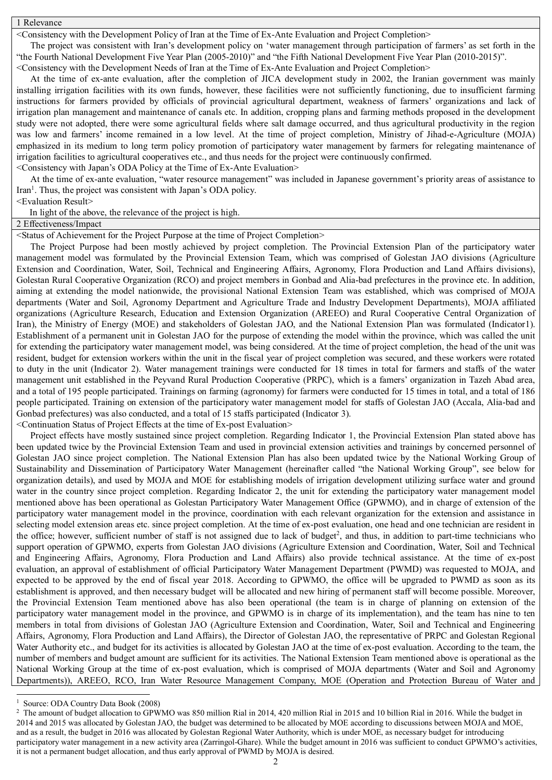#### 1 Relevance

<Consistency with the Development Policy of Iran at the Time of Ex-Ante Evaluation and Project Completion>

 The project was consistent with Iran's development policy on 'water management through participation of farmers' as set forth in the "the Fourth National Development Five Year Plan (2005-2010)" and "the Fifth National Development Five Year Plan (2010-2015)".

<Consistency with the Development Needs of Iran at the Time of Ex-Ante Evaluation and Project Completion>

 At the time of ex-ante evaluation, after the completion of JICA development study in 2002, the Iranian government was mainly installing irrigation facilities with its own funds, however, these facilities were not sufficiently functioning, due to insufficient farming instructions for farmers provided by officials of provincial agricultural department, weakness of farmers' organizations and lack of irrigation plan management and maintenance of canals etc. In addition, cropping plans and farming methods proposed in the development study were not adopted, there were some agricultural fields where salt damage occurred, and thus agricultural productivity in the region was low and farmers' income remained in a low level. At the time of project completion, Ministry of Jihad-e-Agriculture (MOJA) emphasized in its medium to long term policy promotion of participatory water management by farmers for relegating maintenance of irrigation facilities to agricultural cooperatives etc., and thus needs for the project were continuously confirmed. <Consistency with Japan's ODA Policy at the Time of Ex-Ante Evaluation>

At the time of ex-ante evaluation, "water resource management" was included in Japanese government's priority areas of assistance to

Iran<sup>1</sup>. Thus, the project was consistent with Japan's ODA policy.

<Evaluation Result>

In light of the above, the relevance of the project is high.

2 Effectiveness/Impact

<Status of Achievement for the Project Purpose at the time of Project Completion>

 The Project Purpose had been mostly achieved by project completion. The Provincial Extension Plan of the participatory water management model was formulated by the Provincial Extension Team, which was comprised of Golestan JAO divisions (Agriculture Extension and Coordination, Water, Soil, Technical and Engineering Affairs, Agronomy, Flora Production and Land Affairs divisions), Golestan Rural Cooperative Organization (RCO) and project members in Gonbad and Alia-bad prefectures in the province etc. In addition, aiming at extending the model nationwide, the provisional National Extension Team was established, which was comprised of MOJA departments (Water and Soil, Agronomy Department and Agriculture Trade and Industry Development Departments), MOJA affiliated organizations (Agriculture Research, Education and Extension Organization (AREEO) and Rural Cooperative Central Organization of Iran), the Ministry of Energy (MOE) and stakeholders of Golestan JAO, and the National Extension Plan was formulated (Indicator1). Establishment of a permanent unit in Golestan JAO for the purpose of extending the model within the province, which was called the unit for extending the participatory water management model, was being considered. At the time of project completion, the head of the unit was resident, budget for extension workers within the unit in the fiscal year of project completion was secured, and these workers were rotated to duty in the unit (Indicator 2). Water management trainings were conducted for 18 times in total for farmers and staffs of the water management unit established in the Peyvand Rural Production Cooperative (PRPC), which is a famers' organization in Tazeh Abad area, and a total of 195 people participated. Trainings on farming (agronomy) for farmers were conducted for 15 times in total, and a total of 186 people participated. Training on extension of the participatory water management model for staffs of Golestan JAO (Accala, Alia-bad and Gonbad prefectures) was also conducted, and a total of 15 staffs participated (Indicator 3).

<Continuation Status of Project Effects at the time of Ex-post Evaluation>

 Project effects have mostly sustained since project completion. Regarding Indicator 1, the Provincial Extension Plan stated above has been updated twice by the Provincial Extension Team and used in provincial extension activities and trainings by concerned personnel of Golestan JAO since project completion. The National Extension Plan has also been updated twice by the National Working Group of Sustainability and Dissemination of Participatory Water Management (hereinafter called "the National Working Group", see below for organization details), and used by MOJA and MOE for establishing models of irrigation development utilizing surface water and ground water in the country since project completion. Regarding Indicator 2, the unit for extending the participatory water management model mentioned above has been operational as Golestan Participatory Water Management Office (GPWMO), and in charge of extension of the participatory water management model in the province, coordination with each relevant organization for the extension and assistance in selecting model extension areas etc. since project completion. At the time of ex-post evaluation, one head and one technician are resident in the office; however, sufficient number of staff is not assigned due to lack of budget<sup>2</sup>, and thus, in addition to part-time technicians who support operation of GPWMO, experts from Golestan JAO divisions (Agriculture Extension and Coordination, Water, Soil and Technical and Engineering Affairs, Agronomy, Flora Production and Land Affairs) also provide technical assistance. At the time of ex-post evaluation, an approval of establishment of official Participatory Water Management Department (PWMD) was requested to MOJA, and expected to be approved by the end of fiscal year 2018. According to GPWMO, the office will be upgraded to PWMD as soon as its establishment is approved, and then necessary budget will be allocated and new hiring of permanent staff will become possible. Moreover, the Provincial Extension Team mentioned above has also been operational (the team is in charge of planning on extension of the participatory water management model in the province, and GPWMO is in charge of its implementation), and the team has nine to ten members in total from divisions of Golestan JAO (Agriculture Extension and Coordination, Water, Soil and Technical and Engineering Affairs, Agronomy, Flora Production and Land Affairs), the Director of Golestan JAO, the representative of PRPC and Golestan Regional Water Authority etc., and budget for its activities is allocated by Golestan JAO at the time of ex-post evaluation. According to the team, the number of members and budget amount are sufficient for its activities. The National Extension Team mentioned above is operational as the National Working Group at the time of ex-post evaluation, which is comprised of MOJA departments (Water and Soil and Agronomy Departments)), AREEO, RCO, Iran Water Resource Management Company, MOE (Operation and Protection Bureau of Water and

 $\overline{a}$ 

<sup>&</sup>lt;sup>1</sup> Source: ODA Country Data Book (2008)<sup>2</sup> The amount of budget allocation to GPW

<sup>2</sup> The amount of budget allocation to GPWMO was 850 million Rial in 2014, 420 million Rial in 2015 and 10 billion Rial in 2016. While the budget in 2014 and 2015 was allocated by Golestan JAO, the budget was determined to be allocated by MOE according to discussions between MOJA and MOE, and as a result, the budget in 2016 was allocated by Golestan Regional Water Authority, which is under MOE, as necessary budget for introducing participatory water management in a new activity area (Zarringol-Ghare). While the budget amount in 2016 was sufficient to conduct GPWMO's activities, it is not a permanent budget allocation, and thus early approval of PWMD by MOJA is desired.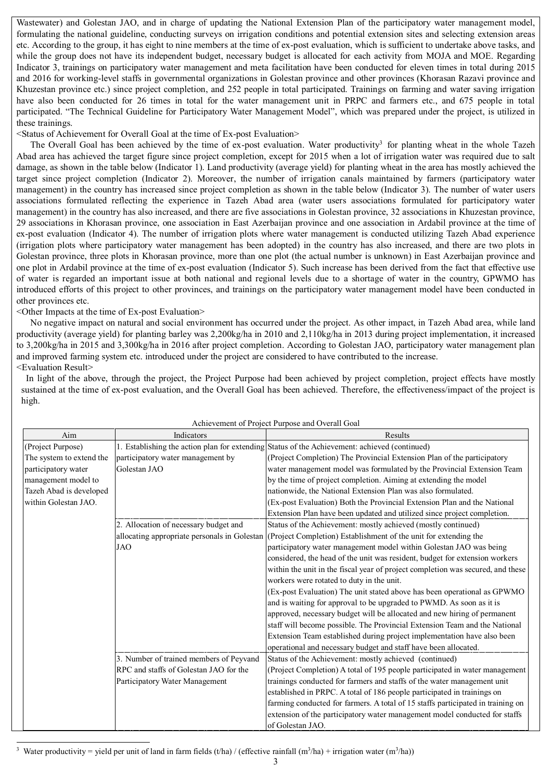Wastewater) and Golestan JAO, and in charge of updating the National Extension Plan of the participatory water management model, formulating the national guideline, conducting surveys on irrigation conditions and potential extension sites and selecting extension areas etc. According to the group, it has eight to nine members at the time of ex-post evaluation, which is sufficient to undertake above tasks, and while the group does not have its independent budget, necessary budget is allocated for each activity from MOJA and MOE. Regarding Indicator 3, trainings on participatory water management and meta facilitation have been conducted for eleven times in total during 2015 and 2016 for working-level staffs in governmental organizations in Golestan province and other provinces (Khorasan Razavi province and Khuzestan province etc.) since project completion, and 252 people in total participated. Trainings on farming and water saving irrigation have also been conducted for 26 times in total for the water management unit in PRPC and farmers etc., and 675 people in total participated. "The Technical Guideline for Participatory Water Management Model", which was prepared under the project, is utilized in these trainings.

<Status of Achievement for Overall Goal at the time of Ex-post Evaluation>

The Overall Goal has been achieved by the time of ex-post evaluation. Water productivity<sup>3</sup> for planting wheat in the whole Tazeh Abad area has achieved the target figure since project completion, except for 2015 when a lot of irrigation water was required due to salt damage, as shown in the table below (Indicator 1). Land productivity (average yield) for planting wheat in the area has mostly achieved the target since project completion (Indicator 2). Moreover, the number of irrigation canals maintained by farmers (participatory water management) in the country has increased since project completion as shown in the table below (Indicator 3). The number of water users associations formulated reflecting the experience in Tazeh Abad area (water users associations formulated for participatory water management) in the country has also increased, and there are five associations in Golestan province, 32 associations in Khuzestan province, 29 associations in Khorasan province, one association in East Azerbaijan province and one association in Ardabil province at the time of ex-post evaluation (Indicator 4). The number of irrigation plots where water management is conducted utilizing Tazeh Abad experience (irrigation plots where participatory water management has been adopted) in the country has also increased, and there are two plots in Golestan province, three plots in Khorasan province, more than one plot (the actual number is unknown) in East Azerbaijan province and one plot in Ardabil province at the time of ex-post evaluation (Indicator 5). Such increase has been derived from the fact that effective use of water is regarded an important issue at both national and regional levels due to a shortage of water in the country, GPWMO has introduced efforts of this project to other provinces, and trainings on the participatory water management model have been conducted in other provinces etc.

<Other Impacts at the time of Ex-post Evaluation>

 $\overline{a}$ 

 No negative impact on natural and social environment has occurred under the project. As other impact, in Tazeh Abad area, while land productivity (average yield) for planting barley was 2,200kg/ha in 2010 and 2,110kg/ha in 2013 during project implementation, it increased to 3,200kg/ha in 2015 and 3,300kg/ha in 2016 after project completion. According to Golestan JAO, participatory water management plan and improved farming system etc. introduced under the project are considered to have contributed to the increase. <Evaluation Result>

In light of the above, through the project, the Project Purpose had been achieved by project completion, project effects have mostly sustained at the time of ex-post evaluation, and the Overall Goal has been achieved. Therefore, the effectiveness/impact of the project is high.

| Aim                      | Indicators                                   | Results                                                                                       |  |  |  |  |  |
|--------------------------|----------------------------------------------|-----------------------------------------------------------------------------------------------|--|--|--|--|--|
| (Project Purpose)        |                                              | 1. Establishing the action plan for extending Status of the Achievement: achieved (continued) |  |  |  |  |  |
| The system to extend the | participatory water management by            | (Project Completion) The Provincial Extension Plan of the participatory                       |  |  |  |  |  |
| participatory water      | Golestan JAO                                 | water management model was formulated by the Provincial Extension Team                        |  |  |  |  |  |
| management model to      |                                              | by the time of project completion. Aiming at extending the model                              |  |  |  |  |  |
| Tazeh Abad is developed  |                                              | nationwide, the National Extension Plan was also formulated.                                  |  |  |  |  |  |
| within Golestan JAO.     |                                              | (Ex-post Evaluation) Both the Provincial Extension Plan and the National                      |  |  |  |  |  |
|                          |                                              | Extension Plan have been updated and utilized since project completion.                       |  |  |  |  |  |
|                          | 2. Allocation of necessary budget and        | Status of the Achievement: mostly achieved (mostly continued)                                 |  |  |  |  |  |
|                          | allocating appropriate personals in Golestan | (Project Completion) Establishment of the unit for extending the                              |  |  |  |  |  |
|                          | <b>JAO</b>                                   | participatory water management model within Golestan JAO was being                            |  |  |  |  |  |
|                          |                                              | considered, the head of the unit was resident, budget for extension workers                   |  |  |  |  |  |
|                          |                                              | within the unit in the fiscal year of project completion was secured, and these               |  |  |  |  |  |
|                          |                                              | workers were rotated to duty in the unit.                                                     |  |  |  |  |  |
|                          |                                              | (Ex-post Evaluation) The unit stated above has been operational as GPWMO                      |  |  |  |  |  |
|                          |                                              | and is waiting for approval to be upgraded to PWMD. As soon as it is                          |  |  |  |  |  |
|                          |                                              | approved, necessary budget will be allocated and new hiring of permanent                      |  |  |  |  |  |
|                          |                                              | staff will become possible. The Provincial Extension Team and the National                    |  |  |  |  |  |
|                          |                                              | Extension Team established during project implementation have also been                       |  |  |  |  |  |
|                          |                                              | operational and necessary budget and staff have been allocated.                               |  |  |  |  |  |
|                          | 3. Number of trained members of Peyvand      | Status of the Achievement: mostly achieved (continued)                                        |  |  |  |  |  |
|                          | RPC and staffs of Golestan JAO for the       | (Project Completion) A total of 195 people participated in water management                   |  |  |  |  |  |
|                          | Participatory Water Management               | trainings conducted for farmers and staffs of the water management unit                       |  |  |  |  |  |
|                          |                                              | established in PRPC. A total of 186 people participated in trainings on                       |  |  |  |  |  |
|                          |                                              | farming conducted for farmers. A total of 15 staffs participated in training on               |  |  |  |  |  |
|                          |                                              | extension of the participatory water management model conducted for staffs                    |  |  |  |  |  |
|                          |                                              | of Golestan JAO.                                                                              |  |  |  |  |  |

Achievement of Project Purpose and Overall Goal

<sup>&</sup>lt;sup>3</sup> Water productivity = yield per unit of land in farm fields (t/ha) / (effective rainfall (m<sup>3</sup>/ha) + irrigation water (m<sup>3</sup>/ha))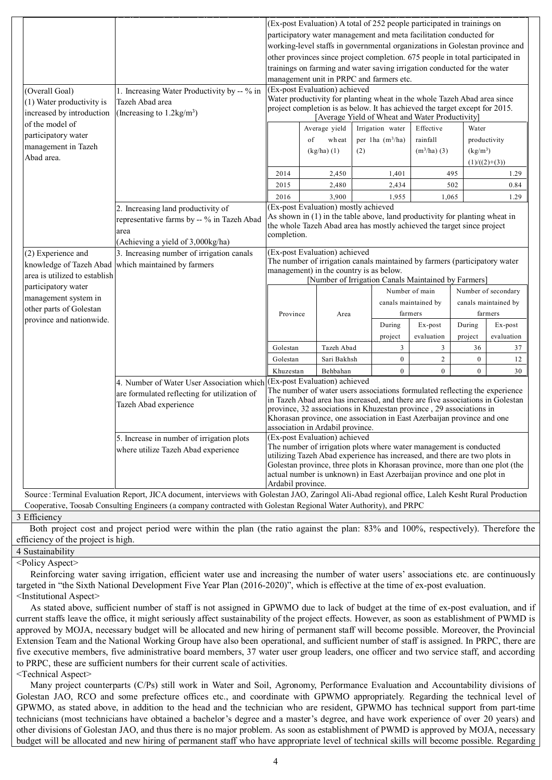|                               | (Ex-post Evaluation) A total of 252 people participated in trainings on<br>participatory water management and meta facilitation conducted for |                                                                                                                                                       |                                                                             |     |                              |                  |                      |                                     |  |  |
|-------------------------------|-----------------------------------------------------------------------------------------------------------------------------------------------|-------------------------------------------------------------------------------------------------------------------------------------------------------|-----------------------------------------------------------------------------|-----|------------------------------|------------------|----------------------|-------------------------------------|--|--|
|                               |                                                                                                                                               | working-level staffs in governmental organizations in Golestan province and                                                                           |                                                                             |     |                              |                  |                      |                                     |  |  |
|                               | other provinces since project completion. 675 people in total participated in                                                                 |                                                                                                                                                       |                                                                             |     |                              |                  |                      |                                     |  |  |
|                               |                                                                                                                                               |                                                                                                                                                       |                                                                             |     |                              |                  |                      |                                     |  |  |
|                               |                                                                                                                                               | trainings on farming and water saving irrigation conducted for the water<br>management unit in PRPC and farmers etc.                                  |                                                                             |     |                              |                  |                      |                                     |  |  |
| (Overall Goal)                | 1. Increasing Water Productivity by -- % in                                                                                                   |                                                                                                                                                       |                                                                             |     |                              |                  |                      |                                     |  |  |
| (1) Water productivity is     |                                                                                                                                               | (Ex-post Evaluation) achieved<br>Water productivity for planting wheat in the whole Tazeh Abad area since                                             |                                                                             |     |                              |                  |                      |                                     |  |  |
| increased by introduction     | Tazeh Abad area<br>project completion is as below. It has achieved the target except for 2015.<br>(Increasing to $1.2 \text{kg/m}^3$ )        |                                                                                                                                                       |                                                                             |     |                              |                  |                      |                                     |  |  |
| of the model of               |                                                                                                                                               | [Average Yield of Wheat and Water Productivity]                                                                                                       |                                                                             |     |                              |                  |                      |                                     |  |  |
| participatory water           |                                                                                                                                               |                                                                                                                                                       | Average yield                                                               |     | Irrigation water             | Effective        |                      | Water<br>productivity<br>$(kg/m^3)$ |  |  |
|                               |                                                                                                                                               |                                                                                                                                                       | of<br>wheat                                                                 |     | per 1ha (m <sup>3</sup> /ha) | rainfall         |                      |                                     |  |  |
| management in Tazeh           |                                                                                                                                               |                                                                                                                                                       | $(kg/ha)$ (1)                                                               | (2) |                              | $(m^3/ha)$ (3)   |                      |                                     |  |  |
| Abad area.                    |                                                                                                                                               |                                                                                                                                                       |                                                                             |     |                              |                  |                      | $(1)/(2)+(3)$                       |  |  |
|                               |                                                                                                                                               | 2014                                                                                                                                                  | 2,450                                                                       |     | 1,401                        |                  | 495                  | 1.29                                |  |  |
|                               |                                                                                                                                               | 2015                                                                                                                                                  | 2,480                                                                       |     | 2,434                        |                  | 502<br>0.84          |                                     |  |  |
|                               |                                                                                                                                               | 2016                                                                                                                                                  | 3,900                                                                       |     | 1,955                        | 1,065            |                      | 1.29                                |  |  |
|                               | 2. Increasing land productivity of                                                                                                            | (Ex-post Evaluation) mostly achieved                                                                                                                  |                                                                             |     |                              |                  |                      |                                     |  |  |
|                               | representative farms by -- % in Tazeh Abad                                                                                                    |                                                                                                                                                       | As shown in (1) in the table above, land productivity for planting wheat in |     |                              |                  |                      |                                     |  |  |
|                               | area                                                                                                                                          | the whole Tazeh Abad area has mostly achieved the target since project                                                                                |                                                                             |     |                              |                  |                      |                                     |  |  |
|                               | (Achieving a yield of 3,000kg/ha)                                                                                                             | completion.                                                                                                                                           |                                                                             |     |                              |                  |                      |                                     |  |  |
| (2) Experience and            | 3. Increasing number of irrigation canals                                                                                                     | (Ex-post Evaluation) achieved                                                                                                                         |                                                                             |     |                              |                  |                      |                                     |  |  |
| knowledge of Tazeh Abad       | which maintained by farmers                                                                                                                   | The number of irrigation canals maintained by farmers (participatory water                                                                            |                                                                             |     |                              |                  |                      |                                     |  |  |
| area is utilized to establish |                                                                                                                                               | management) in the country is as below.                                                                                                               |                                                                             |     |                              |                  |                      |                                     |  |  |
| participatory water           |                                                                                                                                               |                                                                                                                                                       | [Number of Irrigation Canals Maintained by Farmers]                         |     |                              |                  |                      |                                     |  |  |
| management system in          |                                                                                                                                               |                                                                                                                                                       |                                                                             |     |                              | Number of main   |                      | Number of secondary                 |  |  |
| other parts of Golestan       |                                                                                                                                               |                                                                                                                                                       |                                                                             |     | canals maintained by         |                  | canals maintained by |                                     |  |  |
| province and nationwide.      |                                                                                                                                               | Province                                                                                                                                              | Area                                                                        |     |                              | farmers          | farmers              |                                     |  |  |
|                               |                                                                                                                                               |                                                                                                                                                       |                                                                             |     | During                       | Ex-post          | During               | Ex-post                             |  |  |
|                               |                                                                                                                                               |                                                                                                                                                       |                                                                             |     | project                      | evaluation       | project              | evaluation                          |  |  |
|                               |                                                                                                                                               | Golestan                                                                                                                                              | Tazeh Abad                                                                  |     | $\mathfrak{Z}$               | 3                | 36                   | 37                                  |  |  |
|                               |                                                                                                                                               | Golestan                                                                                                                                              | Sari Bakhsh                                                                 |     | $\overline{0}$               | $\overline{c}$   | $\boldsymbol{0}$     | 12                                  |  |  |
|                               |                                                                                                                                               | Khuzestan                                                                                                                                             | Behbahan                                                                    |     | $\boldsymbol{0}$             | $\boldsymbol{0}$ | $\bf{0}$             | 30                                  |  |  |
|                               | (Ex-post Evaluation) achieved<br>4. Number of Water User Association which                                                                    |                                                                                                                                                       |                                                                             |     |                              |                  |                      |                                     |  |  |
|                               | The number of water users associations formulated reflecting the experience<br>are formulated reflecting for utilization of                   |                                                                                                                                                       |                                                                             |     |                              |                  |                      |                                     |  |  |
|                               | Tazeh Abad experience                                                                                                                         | in Tazeh Abad area has increased, and there are five associations in Golestan<br>province, 32 associations in Khuzestan province, 29 associations in  |                                                                             |     |                              |                  |                      |                                     |  |  |
|                               |                                                                                                                                               | Khorasan province, one association in East Azerbaijan province and one                                                                                |                                                                             |     |                              |                  |                      |                                     |  |  |
|                               |                                                                                                                                               | association in Ardabil province.                                                                                                                      |                                                                             |     |                              |                  |                      |                                     |  |  |
|                               | 5. Increase in number of irrigation plots                                                                                                     | (Ex-post Evaluation) achieved                                                                                                                         |                                                                             |     |                              |                  |                      |                                     |  |  |
|                               | where utilize Tazeh Abad experience                                                                                                           | The number of irrigation plots where water management is conducted                                                                                    |                                                                             |     |                              |                  |                      |                                     |  |  |
|                               |                                                                                                                                               | utilizing Tazeh Abad experience has increased, and there are two plots in                                                                             |                                                                             |     |                              |                  |                      |                                     |  |  |
|                               |                                                                                                                                               | Golestan province, three plots in Khorasan province, more than one plot (the<br>actual number is unknown) in East Azerbaijan province and one plot in |                                                                             |     |                              |                  |                      |                                     |  |  |
|                               |                                                                                                                                               |                                                                                                                                                       |                                                                             |     |                              |                  |                      |                                     |  |  |
|                               |                                                                                                                                               | Ardabil province.                                                                                                                                     |                                                                             |     |                              |                  |                      |                                     |  |  |

3 Efficiency

Both project cost and project period were within the plan (the ratio against the plan: 83% and 100%, respectively). Therefore the efficiency of the project is high.

4 Sustainability <Policy Aspect>

 Reinforcing water saving irrigation, efficient water use and increasing the number of water users' associations etc. are continuously targeted in "the Sixth National Development Five Year Plan (2016-2020)", which is effective at the time of ex-post evaluation. <Institutional Aspect>

 As stated above, sufficient number of staff is not assigned in GPWMO due to lack of budget at the time of ex-post evaluation, and if current staffs leave the office, it might seriously affect sustainability of the project effects. However, as soon as establishment of PWMD is approved by MOJA, necessary budget will be allocated and new hiring of permanent staff will become possible. Moreover, the Provincial Extension Team and the National Working Group have also been operational, and sufficient number of staff is assigned. In PRPC, there are five executive members, five administrative board members, 37 water user group leaders, one officer and two service staff, and according to PRPC, these are sufficient numbers for their current scale of activities.

<Technical Aspect>

 Many project counterparts (C/Ps) still work in Water and Soil, Agronomy, Performance Evaluation and Accountability divisions of Golestan JAO, RCO and some prefecture offices etc., and coordinate with GPWMO appropriately. Regarding the technical level of GPWMO, as stated above, in addition to the head and the technician who are resident, GPWMO has technical support from part-time technicians (most technicians have obtained a bachelor's degree and a master's degree, and have work experience of over 20 years) and other divisions of Golestan JAO, and thus there is no major problem. As soon as establishment of PWMD is approved by MOJA, necessary budget will be allocated and new hiring of permanent staff who have appropriate level of technical skills will become possible. Regarding